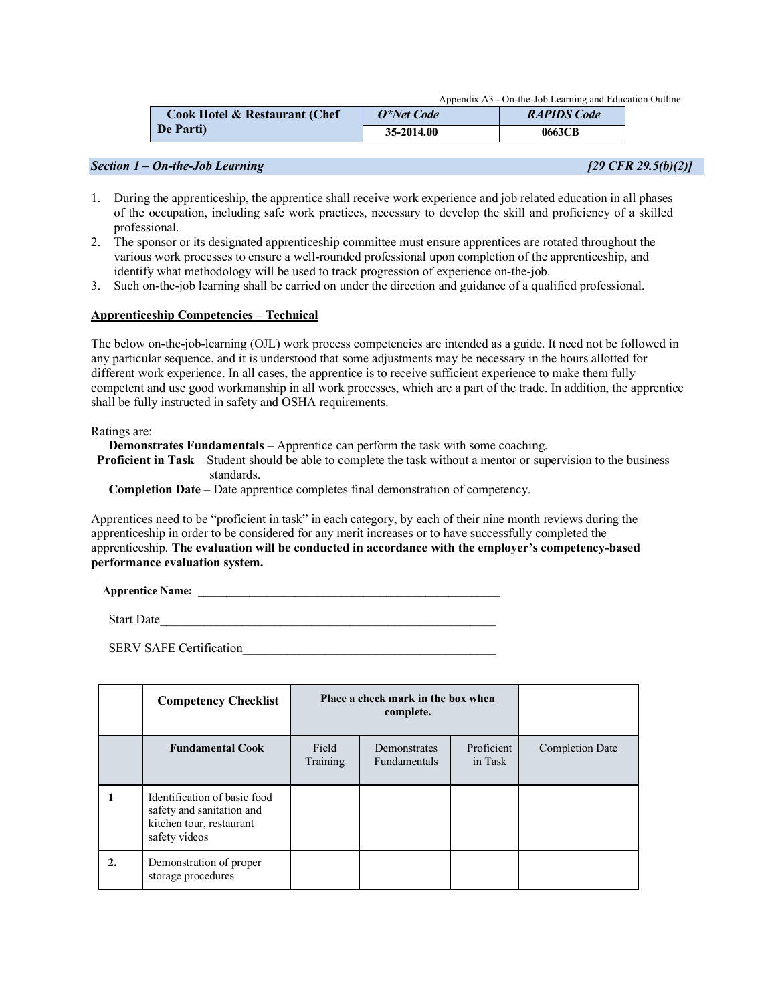Appendix A3 - On-the-Job Learning and Education Outline

| <b>Cook Hotel &amp; Restaurant (Chef)</b><br>De Parti) | O*Net Code | <b>RAPIDS Code</b> |  |  |
|--------------------------------------------------------|------------|--------------------|--|--|
|                                                        | 35-2014.00 | 0663CB             |  |  |

### *Section 1 – On-the-Job Learning [29 CFR 29.5(b)(2)]*

- 1. During the apprenticeship, the apprentice shall receive work experience and job related education in all phases of the occupation, including safe work practices, necessary to develop the skill and proficiency of a skilled professional.
- 2. The sponsor or its designated apprenticeship committee must ensure apprentices are rotated throughout the various work processes to ensure a well-rounded professional upon completion of the apprenticeship, and identify what methodology will be used to track progression of experience on-the-job.
- 3. Such on-the-job learning shall be carried on under the direction and guidance of a qualified professional.

### **Apprenticeship Competencies – Technical**

The below on-the-job-learning (OJL) work process competencies are intended as a guide. It need not be followed in any particular sequence, and it is understood that some adjustments may be necessary in the hours allotted for different work experience. In all cases, the apprentice is to receive sufficient experience to make them fully competent and use good workmanship in all work processes, which are a part of the trade. In addition, the apprentice shall be fully instructed in safety and OSHA requirements.

Ratings are:

**Demonstrates Fundamentals** – Apprentice can perform the task with some coaching.

**Proficient in Task** – Student should be able to complete the task without a mentor or supervision to the business standards.

**Completion Date** – Date apprentice completes final demonstration of competency.

Apprentices need to be "proficient in task" in each category, by each of their nine month reviews during the apprenticeship in order to be considered for any merit increases or to have successfully completed the apprenticeship. **The evaluation will be conducted in accordance with the employer's competency-based performance evaluation system.**

**Apprentice Name:** <u>and the set of the set of the set of the set of the set of the set of the set of the set of the set of the set of the set of the set of the set of the set of the set of the set of the set of the set of </u>

Start Date

SERV SAFE Certification

|                  | <b>Competency Checklist</b>                                                                            | Place a check mark in the box when<br>complete. |                                            |                       |                        |
|------------------|--------------------------------------------------------------------------------------------------------|-------------------------------------------------|--------------------------------------------|-----------------------|------------------------|
|                  | <b>Fundamental Cook</b>                                                                                | Field<br>Training                               | <b>Demonstrates</b><br><b>Fundamentals</b> | Proficient<br>in Task | <b>Completion Date</b> |
|                  | Identification of basic food<br>safety and sanitation and<br>kitchen tour, restaurant<br>safety videos |                                                 |                                            |                       |                        |
| $\overline{2}$ . | Demonstration of proper<br>storage procedures                                                          |                                                 |                                            |                       |                        |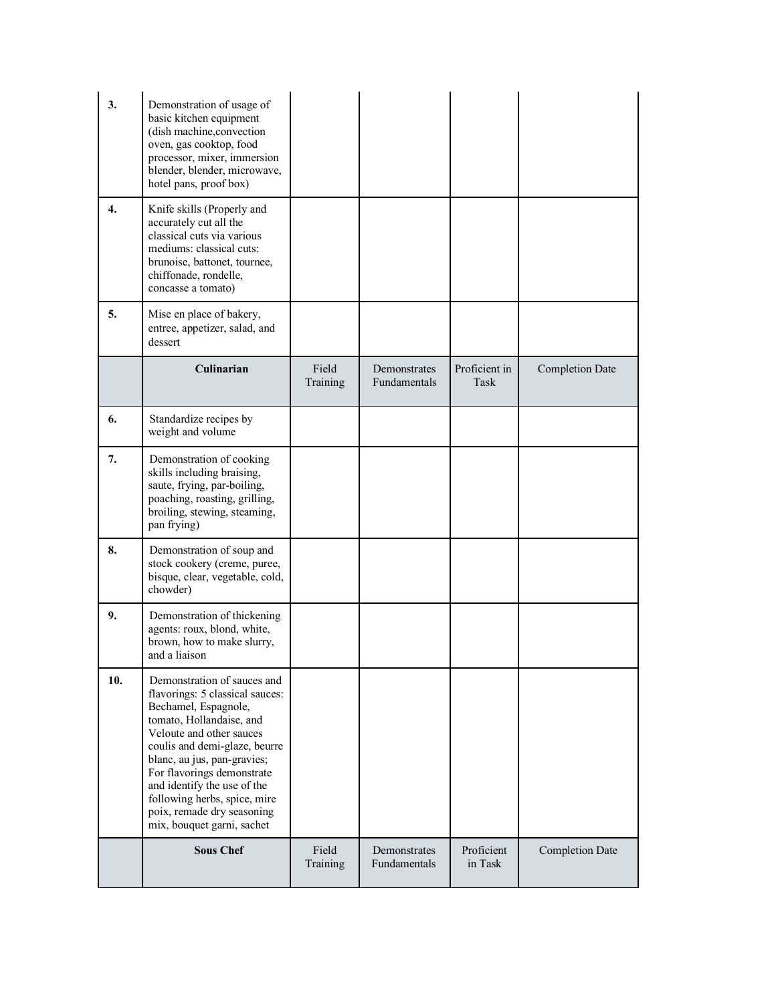| 3.  | Demonstration of usage of<br>basic kitchen equipment<br>(dish machine, convection<br>oven, gas cooktop, food<br>processor, mixer, immersion<br>blender, blender, microwave,<br>hotel pans, proof box)                                                                                                                                                                   |                   |                              |                       |                        |
|-----|-------------------------------------------------------------------------------------------------------------------------------------------------------------------------------------------------------------------------------------------------------------------------------------------------------------------------------------------------------------------------|-------------------|------------------------------|-----------------------|------------------------|
| 4.  | Knife skills (Properly and<br>accurately cut all the<br>classical cuts via various<br>mediums: classical cuts:<br>brunoise, battonet, tournee,<br>chiffonade, rondelle,<br>concasse a tomato)                                                                                                                                                                           |                   |                              |                       |                        |
| 5.  | Mise en place of bakery,<br>entree, appetizer, salad, and<br>dessert                                                                                                                                                                                                                                                                                                    |                   |                              |                       |                        |
|     | Culinarian                                                                                                                                                                                                                                                                                                                                                              | Field<br>Training | Demonstrates<br>Fundamentals | Proficient in<br>Task | <b>Completion Date</b> |
| 6.  | Standardize recipes by<br>weight and volume                                                                                                                                                                                                                                                                                                                             |                   |                              |                       |                        |
| 7.  | Demonstration of cooking<br>skills including braising,<br>saute, frying, par-boiling,<br>poaching, roasting, grilling,<br>broiling, stewing, steaming,<br>pan frying)                                                                                                                                                                                                   |                   |                              |                       |                        |
| 8.  | Demonstration of soup and<br>stock cookery (creme, puree,<br>bisque, clear, vegetable, cold,<br>chowder)                                                                                                                                                                                                                                                                |                   |                              |                       |                        |
| 9.  | Demonstration of thickening<br>agents: roux, blond, white,<br>brown, how to make slurry,<br>and a liaison                                                                                                                                                                                                                                                               |                   |                              |                       |                        |
| 10. | Demonstration of sauces and<br>flavorings: 5 classical sauces:<br>Bechamel, Espagnole,<br>tomato, Hollandaise, and<br>Veloute and other sauces<br>coulis and demi-glaze, beurre<br>blanc, au jus, pan-gravies;<br>For flavorings demonstrate<br>and identify the use of the<br>following herbs, spice, mire<br>poix, remade dry seasoning<br>mix, bouquet garni, sachet |                   |                              |                       |                        |
|     | <b>Sous Chef</b>                                                                                                                                                                                                                                                                                                                                                        | Field<br>Training | Demonstrates<br>Fundamentals | Proficient<br>in Task | <b>Completion Date</b> |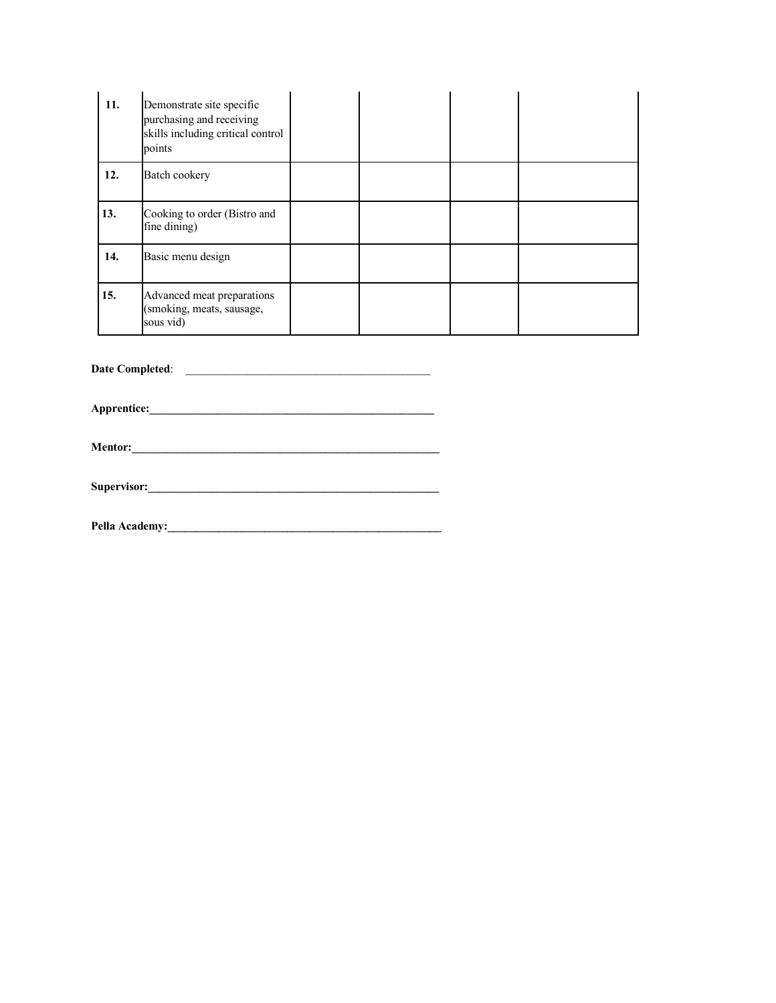| 11. | Demonstrate site specific<br>purchasing and receiving<br>skills including critical control<br>points |  |  |
|-----|------------------------------------------------------------------------------------------------------|--|--|
| 12. | Batch cookery                                                                                        |  |  |
| 13. | Cooking to order (Bistro and<br>fine dining)                                                         |  |  |
| 14. | Basic menu design                                                                                    |  |  |
| 15. | Advanced meat preparations<br>(smoking, meats, sausage,<br>sous vid)                                 |  |  |

**Date Completed**: \_\_\_\_\_\_\_\_\_\_\_\_\_\_\_\_\_\_\_\_\_\_\_\_\_\_\_\_\_\_\_\_\_\_\_\_\_\_\_\_\_\_\_

**Apprentice:\_\_\_\_\_\_\_\_\_\_\_\_\_\_\_\_\_\_\_\_\_\_\_\_\_\_\_\_\_\_\_\_\_\_\_\_\_\_\_\_\_\_\_\_\_\_\_\_\_\_**

**Mentor:\_\_\_\_\_\_\_\_\_\_\_\_\_\_\_\_\_\_\_\_\_\_\_\_\_\_\_\_\_\_\_\_\_\_\_\_\_\_\_\_\_\_\_\_\_\_\_\_\_\_\_\_\_\_**

**Supervisor:\_\_\_\_\_\_\_\_\_\_\_\_\_\_\_\_\_\_\_\_\_\_\_\_\_\_\_\_\_\_\_\_\_\_\_\_\_\_\_\_\_\_\_\_\_\_\_\_\_\_\_**

**Pella Academy:\_\_\_\_\_\_\_\_\_\_\_\_\_\_\_\_\_\_\_\_\_\_\_\_\_\_\_\_\_\_\_\_\_\_\_\_\_\_\_\_\_\_\_\_\_\_\_\_**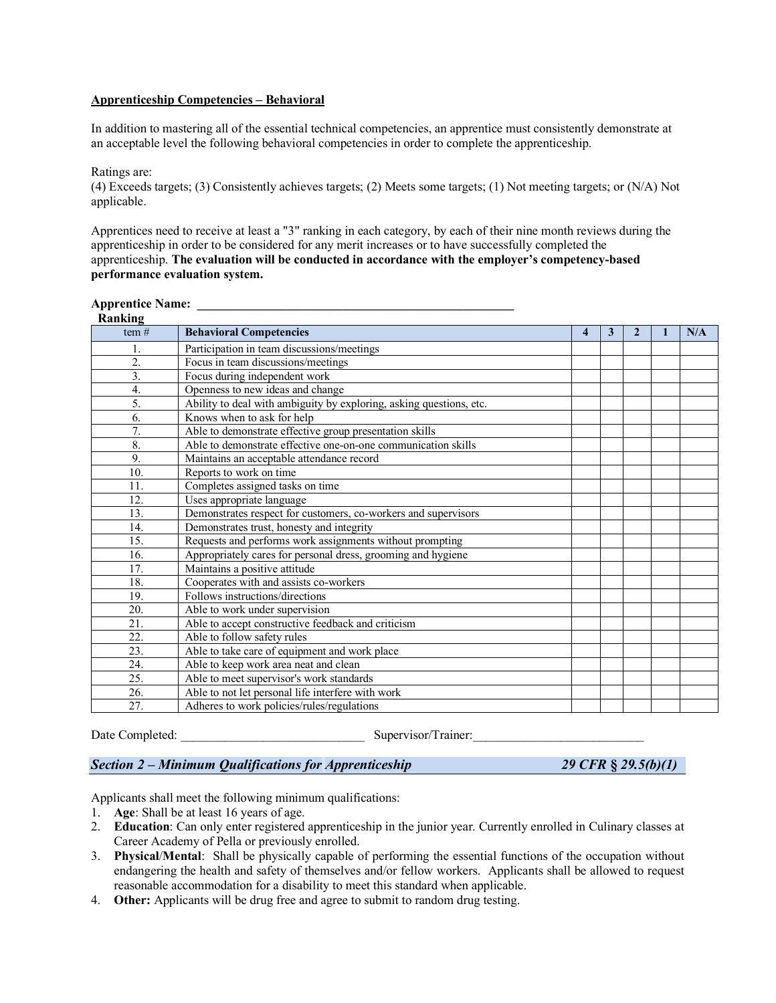### **Apprenticeship Competencies – Behavioral**

In addition to mastering all of the essential technical competencies, an apprentice must consistently demonstrate at an acceptable level the following behavioral competencies in order to complete the apprenticeship.

Ratings are:

(4) Exceeds targets; (3) Consistently achieves targets; (2) Meets some targets; (1) Not meeting targets; or (N/A) Not applicable.

Apprentices need to receive at least a "3" ranking in each category, by each of their nine month reviews during the apprenticeship in order to be considered for any merit increases or to have successfully completed the apprenticeship. **The evaluation will be conducted in accordance with the employer's competency-based performance evaluation system.**

# **Apprentice Name: \_\_\_\_\_\_\_\_\_\_\_\_\_\_\_\_\_\_\_\_\_\_\_\_\_\_\_\_\_\_\_\_\_\_\_\_\_\_\_\_\_\_\_\_\_\_\_\_\_\_**

| Ranking           |                                                                     |  |   |  |  |     |  |  |
|-------------------|---------------------------------------------------------------------|--|---|--|--|-----|--|--|
| tem#              | <b>Behavioral Competencies</b>                                      |  | 3 |  |  | N/A |  |  |
|                   | Participation in team discussions/meetings                          |  |   |  |  |     |  |  |
| 2.                | Focus in team discussions/meetings                                  |  |   |  |  |     |  |  |
| $\overline{3}$ .  | Focus during independent work                                       |  |   |  |  |     |  |  |
| 4.                | Openness to new ideas and change                                    |  |   |  |  |     |  |  |
| 5.                | Ability to deal with ambiguity by exploring, asking questions, etc. |  |   |  |  |     |  |  |
| 6.                | Knows when to ask for help                                          |  |   |  |  |     |  |  |
| $\overline{7}$ .  | Able to demonstrate effective group presentation skills             |  |   |  |  |     |  |  |
| 8.                | Able to demonstrate effective one-on-one communication skills       |  |   |  |  |     |  |  |
| 9.                | Maintains an acceptable attendance record                           |  |   |  |  |     |  |  |
| 10.               | Reports to work on time                                             |  |   |  |  |     |  |  |
| 11.               | Completes assigned tasks on time                                    |  |   |  |  |     |  |  |
| 12.               | Uses appropriate language                                           |  |   |  |  |     |  |  |
| 13.               | Demonstrates respect for customers, co-workers and supervisors      |  |   |  |  |     |  |  |
| 14.               | Demonstrates trust, honesty and integrity                           |  |   |  |  |     |  |  |
| 15.               | Requests and performs work assignments without prompting            |  |   |  |  |     |  |  |
| 16.               | Appropriately cares for personal dress, grooming and hygiene        |  |   |  |  |     |  |  |
| 17.               | Maintains a positive attitude                                       |  |   |  |  |     |  |  |
| 18.               | Cooperates with and assists co-workers                              |  |   |  |  |     |  |  |
| 19.               | Follows instructions/directions                                     |  |   |  |  |     |  |  |
| 20.               | Able to work under supervision                                      |  |   |  |  |     |  |  |
| 21.               | Able to accept constructive feedback and criticism                  |  |   |  |  |     |  |  |
| $\overline{22}$ . | Able to follow safety rules                                         |  |   |  |  |     |  |  |
| 23.               | Able to take care of equipment and work place                       |  |   |  |  |     |  |  |
| 24.               | Able to keep work area neat and clean                               |  |   |  |  |     |  |  |
| 25.               | Able to meet supervisor's work standards                            |  |   |  |  |     |  |  |
| 26.               | Able to not let personal life interfere with work                   |  |   |  |  |     |  |  |
| 27.               | Adheres to work policies/rules/regulations                          |  |   |  |  |     |  |  |

Date Completed: <br>  $\Box$  Supervisor/Trainer:

# *Section 2 – Minimum Qualifications for Apprenticeship 29 CFR* **§** *29.5(b)(1)*

Applicants shall meet the following minimum qualifications:

- 1. **Age**: Shall be at least 16 years of age.
- 2. **Education**: Can only enter registered apprenticeship in the junior year. Currently enrolled in Culinary classes at Career Academy of Pella or previously enrolled.
- 3. **Physical**/**Mental**: Shall be physically capable of performing the essential functions of the occupation without endangering the health and safety of themselves and/or fellow workers. Applicants shall be allowed to request reasonable accommodation for a disability to meet this standard when applicable.
- 4. **Other:** Applicants will be drug free and agree to submit to random drug testing.